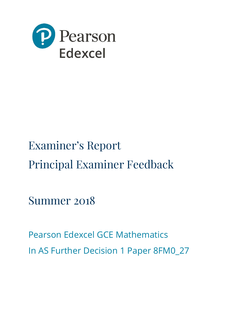

# Examiner's Report Principal Examiner Feedback

Summer 2018

Pearson Edexcel GCE Mathematics In AS Further Decision 1 Paper 8FM0\_27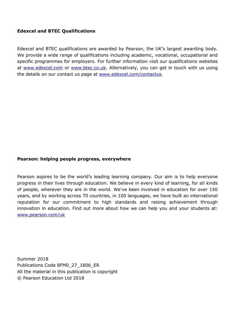# **Edexcel and BTEC Qualifications**

Edexcel and BTEC qualifications are awarded by Pearson, the UK's largest awarding body. We provide a wide range of qualifications including academic, vocational, occupational and specific programmes for employers. For further information visit our qualifications websites at [www.edexcel.com](http://www.edexcel.com/) or [www.btec.co.uk.](http://www.btec.co.uk/) Alternatively, you can get in touch with us using the details on our contact us page at [www.edexcel.com/contactus.](http://www.edexcel.com/contactus)

# **Pearson: helping people progress, everywhere**

Pearson aspires to be the world's leading learning company. Our aim is to help everyone progress in their lives through education. We believe in every kind of learning, for all kinds of people, wherever they are in the world. We've been involved in education for over 150 years, and by working across 70 countries, in 100 languages, we have built an international reputation for our commitment to high standards and raising achievement through innovation in education. Find out more about how we can help you and your students at: [www.pearson.com/uk](http://www.pearson.com/uk)

Summer 2018 Publications Code 8FM0\_27\_1806\_ER All the material in this publication is copyright © Pearson Education Ltd 2018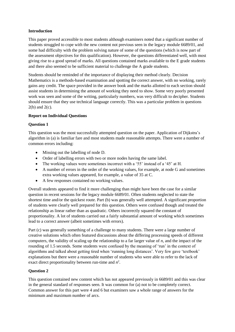## **Introduction**

This paper proved accessible to most students although examiners noted that a significant number of students struggled to cope with the new content not previous seen in the legacy module 6689/01, and some had difficulty with the problem solving nature of some of the questions (which is now part of the assessment objectives for this qualification). However, the questions differentiated well, with most giving rise to a good spread of marks. All questions contained marks available to the E grade students and there also seemed to be sufficient material to challenge the A grade students.

Students should be reminded of the importance of displaying their method clearly. Decision Mathematics is a methods-based examination and spotting the correct answer, with no working, rarely gains any credit. The space provided in the answer book and the marks allotted to each section should assist students in determining the amount of working they need to show. Some very poorly presented work was seen and some of the writing, particularly numbers, was very difficult to decipher. Students should ensure that they use technical language correctly. This was a particular problem in questions 2(b) and 2(c).

#### **Report on Individual Questions**

#### **Question 1**

This question was the most successfully attempted question on the paper. Application of Dijkstra's algorithm in (a) is familiar fare and most students made reasonable attempts. There were a number of common errors including:

- Missing out the labelling of node D.
- Order of labelling errors with two or more nodes having the same label.
- The working values were sometimes incorrect with a '55' instead of a '45' at H.
- A number of errors in the order of the working values, for example, at node G and sometimes extra working values appeared, for example, a value of 35 at C.
- A few responses contained no working values.

Overall students appeared to find it more challenging than might have been the case for a similar question in recent sessions for the legacy module 6689/01. Often students neglected to state the shortest time and/or the quickest route. Part (b) was generally well attempted. A significant proportion of students were clearly well prepared for this question. Others were confused though and treated the relationship as linear rather than as quadratic. Others incorrectly squared the constant of proportionality. A lot of students carried out a fairly substantial amount of working which sometimes lead to a correct answer (albeit sometimes with errors).

Part (c) was generally something of a challenge to many students. There were a large number of creative solutions which often featured discussions about the differing processing speeds of different computers, the validity of scaling up the relationship to a far larger value of *n*, and the impact of the rounding of 1.5 seconds. Some students were confused by the meaning of 'run' in the context of algorithms and talked about getting tired when 'running long distances'. Very few gave 'textbook' explanations but there were a reasonable number of students who were able to refer to the lack of exact direct proportionality between run-time and  $n^2$ .

## **Question 2**

This question contained new content which has not appeared previously in 6689/01 and this was clear in the general standard of responses seen. It was common for (a) not to be completely correct. Common answer for this part were 4 and 6 but examiners saw a whole range of answers for the minimum and maximum number of arcs.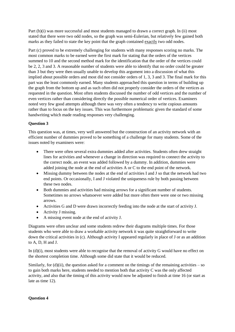Part (b)(i) was more successful and most students managed to drawn a correct graph. In (ii) most stated that there were two odd nodes, so the graph was semi-Eulerian, but relatively few gained both marks as they failed to state the key point that the graph contained exactly two odd nodes.

Part (c) proved to be extremely challenging for students with many responses scoring no marks. The most common marks to be earned were the first mark for stating that the orders of the vertices summed to 10 and the second method mark for the identification that the order of the vertices could be 2, 2, 3 and 3. A reasonable number of students were able to identify that no order could be greater than 3 but they were then usually unable to develop this argument into a discussion of what this implied about possible orders and most did not consider orders of 1, 3, 3 and 3. The final mark for this part was the least commonly earned. Many students approached this question in terms of building up the graph from the bottom up and as such often did not properly consider the orders of the vertices as requested in the question. Most often students discussed the number of odd vertices and the number of even vertices rather than considering directly the possible numerical order of vertices. Examiners noted very few good attempts although there was very often a tendency to write copious amounts rather than to focus on the key issues. This was furthermore problematic given the standard of some handwriting which made reading responses very challenging.

# **Question 3**

This question was, at times, very well answered but the construction of an activity network with an efficient number of dummies proved to be something of a challenge for many students. Some of the issues noted by examiners were:

- There were often several extra dummies added after activities. Students often drew straight lines for activities and whenever a change in direction was required to connect the activity to the correct node, an event was added followed by a dummy. In addition, dummies were added joining the node at the end of activities A or C to the end point of the network.
- Missing dummy between the nodes at the end of activities I and J so that the network had two end points. Or occasionally, I and J violated the uniqueness rule by both passing between these two nodes.
- Both dummies and activities had missing arrows for a significant number of students. Sometimes no arrows whatsoever were added but more often there were one or two missing arrows.
- Activities G and D were drawn incorrectly feeding into the node at the start of activity J.
- Activity J missing.
- A missing event node at the end of activity J.

Diagrams were often unclear and some students redrew their diagrams multiple times. For those students who were able to draw a workable activity network it was quite straightforward to write down the critical activities in (c). Although activity I appeared regularly in place of J or as an addition to A, D, H and J.

In (d)(i), most students were able to recognise that the removal of activity G would have no effect on the shortest completion time. Although some did state that it would be reduced.

Similarly, for  $(d)(ii)$ , the question asked for a comment on the timings of the remaining activities – so to gain both marks here, students needed to mention both that activity C was the only affected activity, and also that the timing of this activity would now be adjusted to finish at time 16 (or start as late as time 12).

## **Question 4**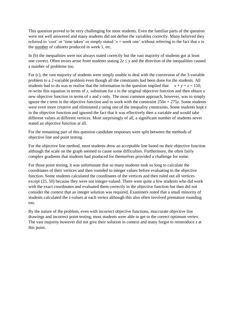This question proved to be very challenging for most students. Even the familiar parts of the question were not well answered and many students did not define the variables correctly. Many believed they referred to 'cost' or 'time taken' or simply stated ' $x =$  week one' without referring to the fact that *x* is the number of cabinets produced in week 1, etc.

In (b) the inequalities were not always stated correctly but the vast majority of students got at least one correct. Often errors arose from students stating  $2z \le y$  and the direction of the inequalities caused a number of problems too.

For (c), the vast majority of students were simply unable to deal with the conversion of the 3-variable problem to a 2-variable problem even though all the constraints had been done for the students. All students had to do was to realise that the information in the question implied that  $x + y + z = 150$ , re-write this equation in terms of *z*, substitute for *z* in the original objective function and then obtain a new objective function in terms of *x* and *y* only. The most common approach, however, was to simply ignore the *z* term in the objective function and to work with the constraint  $250x + 275y$ . Some students were even more creative and eliminated *z* using one of the inequality constraints. Some students kept *z* in the objective function and ignored the fact that it was effectively then a variable and would take different values at different vertices. Most surprisingly of all, a significant number of students never stated an objective function at all.

For the remaining part of this question candidate responses were split between the methods of objective line and point testing.

For the objective line method, most students drew an acceptable line based on their objective function although the scale on the graph seemed to cause some difficulties. Furthermore, the often fairly complex gradients that students had produced for themselves provided a challenge for some.

For those point testing, it was unfortunate that so many students took so long to calculate the coordinates of their vertices and then rounded to integer values before evaluating in the objective function. Some students calculated the coordinates of the vertices and then ruled out all vertices except (25, 50) because they were not integer-valued. There were quite a few students who did work with the exact coordinates and evaluated them correctly in the objective function but then did not consider the context that an integer solution was required. Examiners noted that a small minority of students calculated the *z*-values at each vertex although this also often involved premature rounding too.

By the nature of the problem, even with incorrect objective functions, inaccurate objective line drawings and incorrect point testing, most students were able to get to the correct optimum vertex. The vast majority however did not give their solution in context and many forgot to reintroduce *z* at this point.